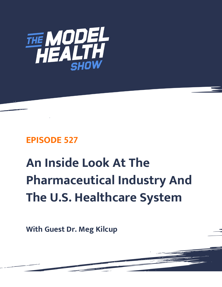

# **EPISODE 527**

# **An Inside Look At The Pharmaceutical Industry And The U.S. Healthcare System**

**With Guest Dr. Meg Kilcup**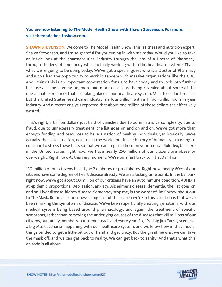# **You are now listening to The Model Health Show with Shawn Stevenson. For more, visit themodelhealthshow.com.**

**SHAWN STEVENSON:** Welcome to The Model Health Show. This is fitness and nutrition expert, Shawn Stevenson, and I'm so grateful for you tuning in with me today. Would you like to take an inside look at the pharmaceutical industry through the lens of a Doctor of Pharmacy, through the lens of somebody who's actually working within the healthcare system? That's what we're going to be doing today. We've got a special guest who is a Doctor of Pharmacy and who's had the opportunity to work in tandem with massive organizations like the CDC. And I think this is an important conversation for us to have today and to look into further because as time is going on, more and more details are being revealed about some of the questionable practices that are taking place in our healthcare system. Most folks don't realize, but the United States healthcare industry is a four trillion, with a T, four-trillion-dollar-a-year industry. And a recent analysis reported that about one trillion of those dollars are effectively wasted.

That's right, a trillion dollars just kind of vanishes due to administrative complexity, due to fraud, due to unnecessary treatment; the list goes on and on and on. We've got more than enough funding and resources to have a nation of healthy individuals, yet ironically, we're actually the sickest nation, not just in the world, but in the history of humanity. I'm going to continue to stress these facts so that we can imprint these on your mental Rolodex, but here in the United States right now, we have nearly 250 million of our citizens are obese or overweight. Right now. At this very moment. We're on a fast track to hit 250 million.

130 million of our citizens have type 2 diabetes or prediabetes. Right now, nearly 60% of our citizens have some degree of heart disease already. We are a ticking time bomb. In the ballpark right now, we've got about 50 million of our citizens have an autoimmune condition. ADHD is at epidemic proportions. Depression, anxiety, Alzheimer's disease, dementia; the list goes on and on. Liver disease, kidney disease. Somebody stop me, in the words of Jim Carrey; shout out to The Mask. But in all seriousness, a big part of the reason we're in this situation is that we've been masking the symptoms of disease. We've been superficially treating symptoms, with our medical system being based around pharmacology, and again, the treatment of specific symptoms, rather than removing the underlying causes of the diseases that kill millions of our citizens, our family members, our friends, each and every year. So, it's a big Jim Carrey scenario, a big Mask scenario happening with our healthcare system, and we know how in that movie, things tended to get a little bit out of hand and get crazy. But the great news is, we can take the mask off, and we can get back to reality. We can get back to sanity. And that's what this episode is all about.

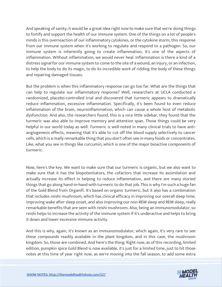And speaking of sanity, it would be a great idea right now to make sure that we're doing things to fortify and support the health of our immune system. One of the things on a lot of people's minds is this overreaction of our inflammatory cytokines, or the cytokine storm, this response from our immune system when it's working to regulate and respond to a pathogen. So, our immune system is inherently going to create inflammation, it's one of the aspects of inflammation. Without inflammation, we would never heal. Inflammation is there a kind of a distress signal for our immune system to come to the site of a wound, an injury, or an infection, to help the body to do its magic, to do its incredible work of ridding the body of these things and repairing damaged tissues.

But the problem is when this inflammatory response can go too far. What are the things that can help to regulate our inflammatory response? Well, researchers at UCLA conducted a randomized, placebo-controlled trial and discovered that turmeric appears to dramatically reduce inflammation, excessive inflammation. Specifically, it's been found to even reduce inflammation of the brain, neuroinflammation, which can cause a whole host of metabolic dysfunction. And also, the researchers found, this is a nice little sidebar, they found that the turmeric was also able to improve memory and attention span. Those things could be very helpful in our world today as well. Turmeric is well-noted in many clinical trials to have antiangiogenesis effects, meaning that it's able to cut off the blood supply selectively to cancer cells, which is a really remarkable thing that you don't often see in many foods or concentrates. Like, what you see in things like curcumin, which is one of the major bioactive components of turmeric.

Now, here's the key. We want to make sure that our turmeric is organic, but we also want to make sure that it has the biopotentiators, the cofactors that increase its assimilation and actually increase its effect in helping to reduce inflammation, and there are many storied things that go along hand-in-hand with turmeric to do that job. This is why I'm such a huge fan of the Gold Blend from Organifi. It's based on organic turmeric, but it also has a combination that includes reishi mushroom, which has clinical efficacy in improving our overall sleep time, improving wake after sleep onset, and also improving our non-REM sleep and REM sleep, really remarkable benefits that are seen with reishi mushroom. Also, being an immunomodulator, so reishi helps to increase the activity of the immune system if it's underactive and helps to bring it down and lower excessive immune activity.

And this is why, again, it's known as an immunomodulator, which again, it's very rare to see these compounds readily available in the plant kingdom, and in this case, the mushroom kingdom. So, those are combined. And here's the thing: Right now, as of this recording, limited edition, pumpkin spice Gold Blend is now available, it's just for a limited time, just to hit those notes at this time of year right now, as we're moving into the fall season, to add some extra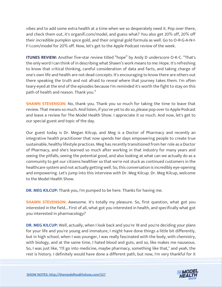vibes and to add some extra health at a time when we so desperately need it. Pop over there, and check them out, it's organifi.com/model, and guess what? You also get 20% off, 20% off their incredible pumpkin spice gold, and their original gold formula as well. Go to O-R-G-A-N-I-F-I.com/model for 20% off. Now, let's get to the Apple Podcast review of the week.

**ITUNES REVIEW:** Another five-star review titled "hope" by Andy D underscore O-K-C. "That's the only word I can think of in describing what Shawn's work means to me: Hope. It's refreshing to know that critical thinking, careful consideration of data and facts, and taking charge of one's own life and health are not dead concepts. It's encouraging to know there are others out there speaking the truth and not afraid to reveal where that journey takes them. I'm often teary-eyed at the end of the episodes because I'm reminded it's worth the fight to stay on this path of health and reason. Thank you."

**SHAWN STEVENSON:** No, thank you. Thank you so much for taking the time to leave that review. That means so much. And listen, if you've yet to do so, please pop over to Apple Podcast and leave a review for The Model Health Show. I appreciate it so much. And now, let's get to our special guest and topic of the day.

Our guest today is Dr. Megan Kilcup, and Meg is a Doctor of Pharmacy and recently an integrative health practitioner that now spends her days empowering people to create true sustainable, healthy lifestyle practices. Meg has recently transitioned from her role as a Doctor of Pharmacy, and she's learned so much after working in that industry for many years and seeing the pitfalls, seeing the potential good, and also looking at what can we actually do as a community to get our citizens healthier so that we're not stuck as continued customers in the healthcare system and not actually getting well. So, this conversation is incredibly eye-opening and empowering. Let's jump into this interview with Dr. Meg Kilcup. Dr. Meg Kilcup, welcome to the Model Health Show.

**DR. MEG KILCUP:** Thank you, I'm pumped to be here. Thanks for having me.

**SHAWN STEVENSON:** Awesome. It's totally my pleasure. So, first question, what got you interested in the field... First of all, what got you interested in health, and specifically what got you interested in pharmacology?

**DR. MEG KILCUP:** Well, actually, when I look back and you're 18 and you're deciding your plans for your life and you're young and immature, I might have done things a little bit differently, but in high school, when I was younger, I was really fascinated with the body, with chemistry, with biology, and at the same time, I hated blood and guts, and so, like makes me nauseous. So, I was just like, "I'll go into medicine, maybe pharmacy, something like that," and yeah, the rest is history. I definitely would have done a different path, but now, I'm very thankful for it

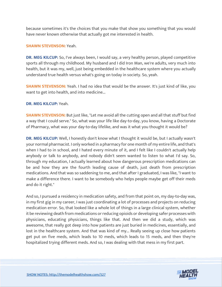because sometimes it's the choices that you make that show you something that you would have never known otherwise that actually got me interested in health.

#### **SHAWN STEVENSON:** Yeah.

**DR. MEG KILCUP:** So, I've always been, I would say, a very healthy person, played competitive sports all through my childhood. My husband and I did Iron Man, we're adults, very much into health, but it was my, well, just being embedded in the healthcare system where you actually understand true health versus what's going on today in society. So, yeah.

**SHAWN STEVENSON:** Yeah. I had no idea that would be the answer. It's just kind of like, you want to get into health, and into medicine...

#### **DR. MEG KILCUP:** Yeah.

**SHAWN STEVENSON:** But just like, "Let me avoid all the cutting open and all that stuff but find a way that I could serve." So, what was your life like day-to-day, you know, having a Doctorate of Pharmacy, what was your day-to-day lifelike, and was it what you thought it would be?

**DR. MEG KILCUP:** Well, I honestly don't know what I thought it would be, but I actually wasn't your normal pharmacist. I only worked in a pharmacy for one month of my entire life, and that's when I had to in school, and I hated every minute of it, and I felt like I couldn't actually help anybody or talk to anybody, and nobody didn't seem wanted to listen to what I'd say. So, through my education, I actually learned about how dangerous prescription medications can be and how they are the fourth leading cause of death, just death from prescription medications. And that was so saddening to me, and that after I graduated, I was like, "I want to make a difference there. I want to be somebody who helps people maybe get off their meds and do it right."

And so, I pursued a residency in medication safety, and from that point on, my day-to-day was, in my first gig in my career, I was just coordinating a lot of processes and projects on reducing medication error. So, that looked like a whole lot of things in a large clinical system, whether it be reviewing death from medications or reducing opioids or developing safer processes with physicians, educating physicians, things like that. And then we did a study, which was awesome, that really got deep into how patients are just buried in medicines, essentially, and lost in the healthcare system. And that was kind of my... Really seeing up close how patients get put on five meds, which leads to 10 meds, which leads to 15 meds, and then they're hospitalized trying different meds. And so, I was dealing with that mess in my first part.

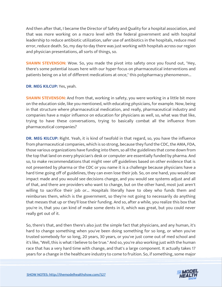And then after that, I became the Director of Safety and Quality for a hospital association, and that was more working on a macro level with the federal government and with hospital leadership to reduce antibiotic utilization, safer use of antibiotics in the hospitals, reduce med error, reduce death. So, my day-to-day there was just working with hospitals across our region and physician presentations, all sorts of things, so.

**SHAWN STEVENSON:** Wow. So, you made the pivot into safety once you found out, "Hey, there's some potential issues here with our hyper-focus on pharmaceutical interventions and patients being on a lot of different medications at once," this polypharmacy phenomenon...

### **DR. MEG KILCUP:** Yes, yeah.

**SHAWN STEVENSON:** And from that, working in safety, you were working in a little bit more on the education side, like you mentioned, with educating physicians, for example. Now, being in that structure where pharmaceutical medication, and really, pharmaceutical industry and companies have a major influence on education for physicians as well, so, what was that like, trying to have these conversations, trying to basically combat all the influence from pharmaceutical companies?

**DR. MEG KILCUP:** Right. Yeah, it is kind of twofold in that regard, so, you have the influence from pharmaceutical companies, which is so strong, because they fund the CDC, the AMA, FDA, those various organizations have funding into them, so all the guidelines that come down from the top that land on every physician's desk or computer are essentially funded by pharma. And so, to make recommendations that might veer off guidelines based on other evidence that is not presented by pharma or the CDC or you name it is a challenge because physicians have a hard time going off of guidelines, they can even lose their job. So, on one hand, you would see impact made and you would see decisions change, and you would see systems adjust and all of that, and there are providers who want to change, but on the other hand, most just aren't willing to sacrifice their job or... Hospitals literally have to obey who funds them and reimburses them, which is the government, so they're not going to necessarily do anything that messes that up or they'll lose their funding. And so, after a while, you realize this box that you're in, that you can kind of make some dents in it, which was great, but you could never really get out of it.

So, there's that, and then there's also just the simple fact that physicians, and any human, it's hard to change something when you've been doing something for so long, or when you've trusted somebody for so long, 20 years, 30 years, or you've just come out of med school and it's like, "Well, this is what I believe to be true." And so, you're also working just with the human race that has a very hard time with change, and that's a large component. It actually takes 17 years for a change in the healthcare industry to come to fruition. So, if something, some major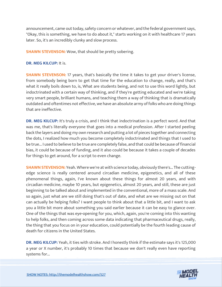announcement, came out today, safety concern or whatever, and the federal government says, "Okay, this is something, we have to do about it," starts working on it with healthcare 17 years later. So, it's an incredibly clunky and slow process.

**SHAWN STEVENSON:** Wow, that should be pretty sobering.

#### **DR. MEG KILCUP:** It is.

**SHAWN STEVENSON:** 17 years, that's basically the time it takes to get your driver's license, from somebody being born to get that time for the education to change, really, and that's what it really boils down to, is, What are students being, and not to use this word lightly, but indoctrinated with a certain way of thinking, and if they're getting educated and we're taking very smart people, brilliant humans, and teaching them a way of thinking that is dramatically outdated and oftentimes not effective, we have an absolute army of folks who are doing things that are ineffective.

**DR. MEG KILCUP:** It's truly a crisis, and I think that indoctrination is a perfect word. And that was me, that's literally everyone that goes into a medical profession. After I started peeling back the layers and doing my own research and putting a lot of pieces together and connecting the dots, I realized how much you become completely indoctrinated and things that I used to be true... I used to believe to be true are completely false, and that could be because of financial bias, it could be because of funding, and it also could be because it takes a couple of decades for things to get around, for a script to even change.

**SHAWN STEVENSON:** Yeah. Where we're at with science today, obviously there's... The cuttingedge science is really centered around circadian medicine, epigenetics, and all of these phenomenal things, again, I've known about these things for almost 20 years, and with circadian medicine, maybe 10 years, but epigenetics, almost 20 years, and still, these are just beginning to be talked about and implemented in the conventional, more of a mass scale. And so again, just what are we still doing that's out of date, and what are we missing out on that can actually be helping folks? I want people to think about that a little bit, and I want to ask you a little bit more about something you said earlier because it can be easy to glance over. One of the things that was eye-opening for you, which, again, you're coming into this wanting to help folks, and then coming across some data indicating that pharmaceutical drugs, really, the thing that you focus on in your education, could potentially be the fourth leading cause of death for citizens in the United States.

**DR. MEG KILCUP:** Yeah, it ties with stroke. And I honestly think if the estimate says it's 125,000 a year or X number, it's probably 10 times that because we don't really even have reporting systems for...

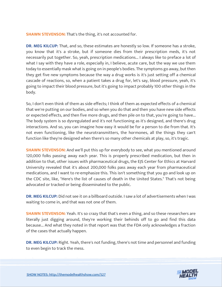**SHAWN STEVENSON:** That's the thing, it's not accounted for.

**DR. MEG KILCUP:** That, and so, these estimates are honestly so low. If someone has a stroke, you know that it's a stroke, but if someone dies from their prescription meds, it's not necessarily put together. So, yeah, prescription medications... I always like to preface a lot of what I say with they have a role, especially in, I believe, acute care, but the way we use them today to essentially mask what is going on in people's bodies. The symptoms go away, but then they get five new symptoms because the way a drug works is it's just setting off a chemical cascade of reactions, so, when a patient takes a drug for, let's say, blood pressure, yeah, it's going to impact their blood pressure, but it's going to impact probably 100 other things in the body.

So, I don't even think of them as side effects; I think of them as expected effects of a chemical that we're putting on our bodies, and so when you do that and then you have new side effects or expected effects, and then five more drugs, and then pile on to that, you're going to have... The body system is so dysregulated and it's not functioning as it's designed, and there's drug interactions. And so, you can imagine how easy it would be for a person to die from that. It's not even functioning, like the neurotransmitters, the hormones, all the things they can't function like they're designed when there's so many other chemicals at play, so, it's tragic.

**SHAWN STEVENSON:** And we'll put this up for everybody to see, what you mentioned around 120,000 folks passing away each year. This is properly prescribed medication, but then in addition to that, other issues with pharmaceutical drugs, the EJS Center for Ethics at Harvard University revealed that it's about 200,000 folks pass away each year from pharmaceutical medications, and I want to re-emphasize this. This isn't something that you go and look up on the CDC site, like, "Here's the list of causes of death in the United States." That's not being advocated or tracked or being disseminated to the public.

**DR. MEG KILCUP:** Did not see it on a billboard outside. I saw a lot of advertisements when I was waiting to come in, and that was not one of them.

**SHAWN STEVENSON:** Yeah. It's so crazy that that's even a thing, and so these researchers are literally just digging around, they're working their behinds off to go and find this data because... And what they noted in that report was that the FDA only acknowledges a fraction of the cases that actually happen.

**DR. MEG KILCUP:** Right. Yeah, there's not funding, there's not time and personnel and funding to even begin to track the mess.

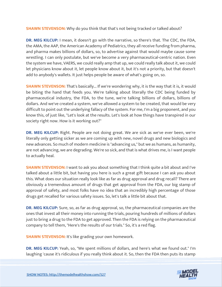**SHAWN STEVENSON:** Why do you think that that's not being tracked or talked about?

**DR. MEG KILCUP:** I mean, it doesn't go with the narrative, so there's that. The CDC, the FDA, the AMA, the AAP, the American Academy of Pediatrics, they all receive funding from pharma, and pharma makes billions of dollars, so, to advertise against that would maybe cause some wrestling. I can only postulate, but we've become a very pharmaceutical-centric nation. Even the system we have, VAERS, we could really amp that up, we could really talk about it, we could let physicians know about it, let people know about it, but it's not a priority, but that doesn't add to anybody's wallets. It just helps people be aware of what's going on, so.

**SHAWN STEVENSON:** That's basically... If we're wondering why, it is the way that it is, it would be biting the hand that feeds you. We're talking about literally the CDC being funded by pharmaceutical industry, the FDA, to the tune, we're talking billions of dollars, billions of dollars. And we've created a system, we've allowed a system to be created, that would be very difficult to point out the underlying fallacy of the system. For me, I'm a big proponent, and you know this, of just like, "Let's look at the results. Let's look at how things have transpired in our society right now. How is it working out?"

**DR. MEG KILCUP:** Right. People are not doing great. We are sick as we've ever been, we're literally only getting sicker as we are coming up with new, novel drugs and new biologics and new advances. So much of modern medicine is "advancing us," but we as humans, as humanity, are not advancing, we are degrading. We're so sick, and that is what drives me, is I want people to actually heal.

**SHAWN STEVENSON:** I want to ask you about something that I think quite a bit about and I've talked about a little bit, but having you here is such a great gift because I can ask you about this. What does our situation really look like as far as drug approval and drug recall? There are obviously a tremendous amount of drugs that get approval from the FDA, our big stamp of approval of safety, and most folks have no idea that an incredibly high percentage of those drugs get recalled for various safety issues. So, let's talk a little bit about that.

**DR. MEG KILCUP:** Sure, so, as far as drug approval, so, the pharmaceutical companies are the ones that invest all their money into running the trials, pouring hundreds of millions of dollars just to bring a drug to the FDA to get approved. Then the FDA is relying on the pharmaceutical company to tell them, "Here's the results of our trials." So, it's a red flag.

**SHAWN STEVENSON:** It's like grading your own homework.

**DR. MEG KILCUP:** Yeah, so, "We spent millions of dollars, and here's what we found out." I'm laughing 'cause it's ridiculous if you really think about it. So, then the FDA then puts its stamp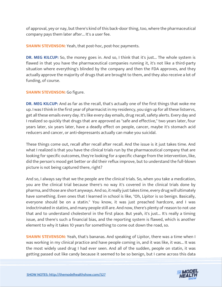of approval, yey or nay, but there's kind of this back-door thing, too, where the pharmaceutical company pays them later after... It's a user fee.

**SHAWN STEVENSON:** Yeah, that post-hoc, post-hoc payments.

**DR. MEG KILCUP:** So, the money goes in. And so, I think that it's just... The whole system is flawed in that you have the pharmaceutical companies running it, it's not like a third-party situation where everything's blinded by the company and then the FDA approves, and they actually approve the majority of drugs that are brought to them, and they also receive a lot of funding, of course.

# **SHAWN STEVENSON:** Go figure.

**DR. MEG KILCUP:** And as far as the recall, that's actually one of the first things that woke me up. I was I think in the first year of pharmacist in my residency, you sign up for all these listservs, get all these emails every day. It's like every day emails, drug recall, safety alerts. Every day and I realized so quickly that drugs that are approved as "safe and effective," two years later, four years later, six years later, have a deadly effect on people, cancer, maybe it's stomach acid reducers and cancer, or anti-depressants actually can make you suicidal.

These things come out, recall after recall after recall. And the issue is it just takes time. And what I realized is that you have the clinical trials run by the pharmaceutical company that are looking for specific outcomes, they're looking for a specific change from the intervention, like, did the person's mood get better or did their reflux improve, but to understand the full-blown picture is not being captured there, right?

And so, I always say that we the people are the clinical trials. So, when you take a medication, you are the clinical trial because there's no way it's covered in the clinical trials done by pharma, and those are short anyways. And so, it really just takes time, every drug will ultimately have something. Even ones that I learned in school is like, "Oh, Lipitor is so benign. Basically, everyone should be on a statin." You know, it was just preached hardcore, and I was indoctrinated in statins, and many people still are. And now, there's plenty of reason to not use that and to understand cholesterol in the first place. But yeah, it's just... It's really a timing issue, and there's such a financial bias, and the reporting system is flawed, which is another element to why it takes 10 years for something to come out down the road, so.

**SHAWN STEVENSON:** Yeah, that's bananas. And speaking of Lipitor, there was a time when I was working in my clinical practice and have people coming in, and it was like, it was... It was the most widely used drug I had ever seen. And all of the sudden, people on statin, it was getting passed out like candy because it seemed to be so benign, but I came across this data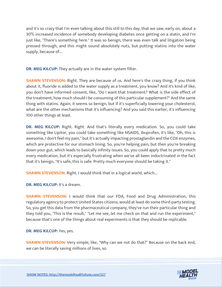and it's so crazy that I'm even talking about this still to this day, that we saw, early on, about a 30% increased incidence of somebody developing diabetes once getting on a statin, and I'm just like, "There's something here." It was so benign, there was even talk and litigation being pressed through, and this might sound absolutely nuts, but putting statins into the water supply, because of...

**DR. MEG KILCUP:** They actually are in the water system filter.

**SHAWN STEVENSON:** Right. They are because of us. And here's the crazy thing, if you think about it, fluoride is added to the water supply as a treatment, you know? And it's kind of like, you don't have informed consent, like, "Do I want that treatment? What is the side effect of the treatment, how much should I be consuming of this particular supplement?" And the same thing with statins. Again, it seems so benign, but if it's superficially lowering your cholesterol, what are the other mechanisms that it's influencing? And you said this earlier, it's influencing 100 other things at least.

**DR. MEG KILCUP:** Right. Right. And that's literally every medication. So, you could take something like Lipitor, you could take something like NSAIDS, ibuprofen, it's like, "Oh, this is awesome, I don't feel my pain," but it's actually impacting prostaglandin and the COX enzymes, which are protective for our stomach lining. So, you're helping pain, but then you're breaking down your gut, which leads to basically infinity issues. So, you could apply that to pretty much every medication, but it's especially frustrating when we've all been indoctrinated in the fact that it's benign, "It's safe, this is safe. Pretty much everyone should be taking it."

**SHAWN STEVENSON:** Right. I would think that in a logical world, which...

**DR. MEG KILCUP:** It's a dream.

**SHAWN STEVENSON:** I would think that our FDA, Food and Drug Administration, this regulatory agency to protect United States citizens, would at least do some third-party testing. So, you get this data from the pharmaceutical company, they've run their particular thing and they told you, "This is the result," "Let me see, let me check on that and run the experiment," because that's one of the things about real experiments is that they should be replicable.

**DR. MEG KILCUP:** Yes, yes.

**SHAWN STEVENSON:** Very simple, like, "Why can we not do that?" Because on the back end, we can be literally saving millions of lives, so.

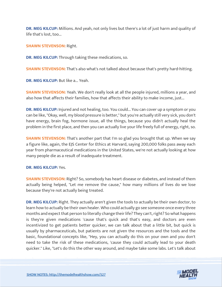**DR. MEG KILCUP:** Millions. And yeah, not only lives but there's a lot of just harm and quality of life that's lost, too...

**SHAWN STEVENSON:** Right.

**DR. MEG KILCUP:** Through taking these medications, so.

**SHAWN STEVENSON:** That's also what's not talked about because that's pretty hard-hitting.

**DR. MEG KILCUP:** But like a... Yeah.

**SHAWN STEVENSON:** Yeah. We don't really look at all the people injured, millions a year, and also how that affects their families, how that affects their ability to make income, just...

**DR. MEG KILCUP:** Injured and not healing, too. You could... You can cover up a symptom or you can be like, "Okay, well, my blood pressure is better," but you're actually still very sick, you don't have energy, brain fog, hormone issue, all the things, because you didn't actually heal the problem in the first place, and then you can actually live your life freely full of energy, right, so.

**SHAWN STEVENSON:** That's another part that I'm so glad you brought that up. When we say a figure like, again, the EJS Center for Ethics at Harvard, saying 200,000 folks pass away each year from pharmaceutical medications in the United States, we're not actually looking at how many people die as a result of inadequate treatment.

# **DR. MEG KILCUP:** Yes.

**SHAWN STEVENSON:** Right? So, somebody has heart disease or diabetes, and instead of them actually being helped, "Let me remove the cause," how many millions of lives do we lose because they're not actually being treated.

**DR. MEG KILCUP:** Right. They actually aren't given the tools to actually be their own doctor, to learn how to actually be their own healer. Who could actually go see someone once every three months and expect that person to literally change their life? They can't, right? So what happens is they're given medications 'cause that's quick and that's easy, and doctors are even incentivized to get patients better quicker, we can talk about that a little bit, but quick is usually by pharmaceuticals, but patients are not given the resources and the tools and the basic, foundational concepts like, "Hey, you can actually do this on your own and you don't need to take the risk of these medications, 'cause they could actually lead to your death quicker." Like, "Let's do this the other way around, and maybe take some labs. Let's talk about

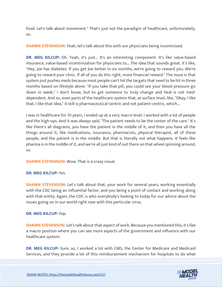food. Let's talk about movement." That's just not the paradigm of healthcare, unfortunately, so.

**SHAWN STEVENSON:** Yeah, let's talk about this with our physicians being incentivized.

**DR. MEG KILCUP:** Oh. Yeah, it's just... It's an interesting component. It's like value-based insurance, value-based incentivization for physicians to... The idea that sounds great. It's like, "Hey, Joe has diabetes. If you get Joe better in six months, we're going to reward you. We're going to reward your clinic. If all of you do this right, more financial reward." The issue is that system just pushes meds because most people can't hit the targets that need to be hit in three months based on lifestyle alone. "If you take that pill, you could see your blood pressure go down in week," I don't know, but to get someone to truly change and heal is not meddependent. And so, even parts of the healthcare system that, at surface level, like, "Okay, I like that, I like that idea," it still is pharmaceutical-centric and not patient-centric, which...

I was in healthcare for 10 years, I ended up at a very macro level. I worked with a lot of people and the high-ups. And it was always said, "The patient needs to be the center of the care." It's like there's all diagrams, you have the patient in the middle of it, and then you have all the things around it, like medications, insurance, pharmacists, physical therapist, all of these people, and the patient is in the middle. But that is literally not what happens. It feels like pharma is in the middle of it, and we're all just kind of out there on that wheel spinning around, so.

**SHAWN STEVENSON:** Wow. That is a crazy visual.

# **DR. MEG KILCUP:** Yes.

**SHAWN STEVENSON:** Let's talk about that, your work for several years, working essentially with the CDC being an influential factor, and you being a point of contact and working along with that entity. Again, the CDC is who everybody's looking to today for our advice about the issues going on in our world right now with this particular virus.

# **DR. MEG KILCUP:** Yep.

**SHAWN STEVENSON:** Let's talk about that aspect of work. Because you mentioned this, it's like a macro position where you can see more aspects of the government and influence with our healthcare system.

**DR. MEG KILCUP:** Sure, so, I worked a lot with CMS, the Center for Medicare and Medicaid Services, and they provide a lot of this reimbursement mechanism for hospitals to do what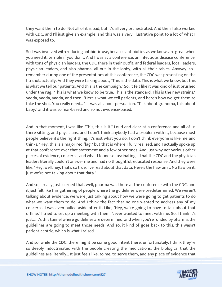they want them to do. Not all of it is bad, but it's all very orchestrated. And then I also worked with CDC, and I'll just give an example, and this was a very illustrative point to a lot of what I was exposed to.

So, I was involved with reducing antibiotic use, because antibiotics, as we know, are great when you need it, terrible if you don't. And I was at a conference, an infectious disease conference, with tons of physician leaders, the CDC there in their outfit, and federal leaders, local leaders, physician leaders, and also pharma, all out in the lobby, with all their tables. Anyway, so I remember during one of the presentations at this conference, the CDC was presenting on the flu shot, actually. And they were talking about, "This is the data. This is what we know, but this is what we tell our patients. And this is the campaign." So, it felt like it was kind of just brushed under the rug, "This is what we know to be true. This is the standard. This is the new strains," yadda, yadda, yadda, and then, "Here's what we tell patients, and here's how we get them to take the shot. You really need... " It was all about persuasion. "Talk about grandma, talk about baby," and it was so fear-based and so not evidence-based.

And in that moment, I was like "This, this is it." Loud and clear at a conference and all of us there sitting, and physicians, and I don't think anybody had a problem with it, because most people believe it's the right thing. It's just what you do. I don't think everyone is like me and thinks, "Hey, this is a major red flag," but that is where I fully realized, and I actually spoke up at that conference over that statement and a few other ones. And just why not various other pieces of evidence, concerns, and what I found so fascinating is that the CDC and the physician leaders literally couldn't answer me and had no thoughtful, educated response. And they were like, "Hey, well, hey, that's so true. I've read about that data. Here's the flaw on it. No flaw on it, just we're not talking about that data."

And so, I really just learned that, well, pharma was there at the conference with the CDC, and it just felt like this gathering of people where the guidelines were predetermined. We weren't talking about evidence; we were just talking about how we were going to get patients to do what we want them to do. And I think the fact that no one wanted to address any of my concerns. I was even pulled aside after it. Like, "Hey, we're going to have to talk about that offline." I tried to set up a meeting with them. Never wanted to meet with me. So, I think it's just... It's this tunnel where guidelines are determined, and when you're funded by pharma, the guidelines are going to meet those needs. And so, it kind of goes back to this, this wasn't patient-centric, which is what I raised.

And so, while the CDC, there might be some good intent there, unfortunately, I think they're so deeply indoctrinated with the people creating the medications, the biologics, that the guidelines are literally... It just feels like, to me, to serve them, and any piece of evidence that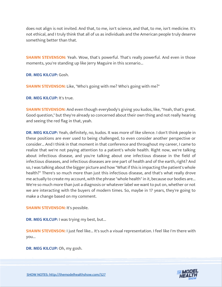does not align is not invited. And that, to me, isn't science, and that, to me, isn't medicine. It's not ethical, and I truly think that all of us as individuals and the American people truly deserve something better than that.

**SHAWN STEVENSON:** Yeah. Wow, that's powerful. That's really powerful. And even in those moments, you're standing up like Jerry Maguire in this scenario...

**DR. MEG KILCUP:** Gosh.

**SHAWN STEVENSON:** Like, "Who's going with me? Who's going with me?"

**DR. MEG KILCUP:** It's true.

**SHAWN STEVENSON:** And even though everybody's giving you kudos, like, "Yeah, that's great. Good question," but they're already so concerned about their own thing and not really hearing and seeing the red flag in that, yeah.

**DR. MEG KILCUP:** Yeah, definitely, no, kudos. It was more of like silence. I don't think people in these positions are ever used to being challenged, to even consider another perspective or consider... And I think in that moment in that conference and throughout my career, I came to realize that we're not paying attention to a patient's whole health. Right now, we're talking about infectious disease, and you're talking about one infectious disease in the field of infectious diseases, and infectious diseases are one part of health and of the earth, right? And so, I was talking about the bigger picture and how "What if this is impacting the patient's whole health?" There's so much more than just this infectious disease, and that's what really drove me actually to create my account, with the phrase "whole health" in it, because our bodies are... We're so much more than just a diagnosis or whatever label we want to put on, whether or not we are interacting with the buyers of modern times. So, maybe in 17 years, they're going to make a change based on my comment.

**SHAWN STEVENSON:** It's possible.

**DR. MEG KILCUP:** I was trying my best, but...

**SHAWN STEVENSON:** I just feel like... It's such a visual representation. I feel like I'm there with you...

**DR. MEG KILCUP:** Oh, my gosh.

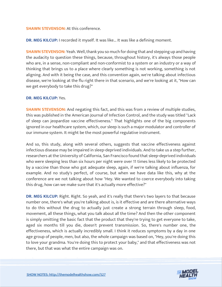#### **SHAWN STEVENSON:** At this conference.

**DR. MEG KILCUP:** I recorded it myself. It was like... It was like a defining moment.

**SHAWN STEVENSON:** Yeah. Well, thank you so much for doing that and stepping up and having the audacity to question these things, because, throughout history, it's always those people who are, in a sense, non-compliant and non-conformist to a system or an industry or a way of thinking that brings us to a place where clearly something is not working, something is not aligning. And with it being the case, and this convention again, we're talking about infectious disease, we're looking at the flu right there in that scenario, and we're looking at it, "How can we get everybody to take this drug?"

#### **DR. MEG KILCUP:** Yes.

**SHAWN STEVENSON:** And negating this fact, and this was from a review of multiple studies, this was published in the American Journal of Infection Control, and the study was titled "Lack of sleep can jeopardize vaccine effectiveness." That highlights one of the big components ignored in our healthcare system, which, our sleep is such a major modulator and controller of our immune system. It might be the most powerful regulative instrument.

And so, this study, along with several others, suggests that vaccine effectiveness against infectious disease may be impaired in sleep-deprived individuals. And to take us a step further, researchers at the University of California, San Francisco found that sleep-deprived individuals who were sleeping less than six hours per night were over 11 times less likely to be protected by a vaccine than those who got adequate sleep, again, if we're talking about influenza, for example. And no study's perfect, of course, but when we have data like this, why at the conference are we not talking about how "Hey. We wanted to coerce everybody into taking this drug, how can we make sure that it's actually more effective?"

**DR. MEG KILCUP:** Right. Right. So yeah, and it's really that there's two layers to that because number one, there's what you're talking about is, is it effective and are there alternative ways to do this without the drug to actually just create a strong terrain through sleep, food, movement, all these things, what you talk about all the time? And then the other component is simply omitting the basic fact that the product that they're trying to get everyone to take, aged six months till you die, doesn't prevent transmission. So, there's number one, the effectiveness, which is actually incredibly small. I think it reduces symptoms by a day in one age group of people, men, but also, the whole campaign was based on, "Hey, you're doing this to love your grandma. You're doing this to protect your baby," and that effectiveness was not there, but that was what the entire campaign was on.

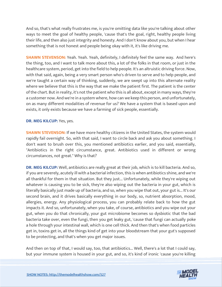And so, that's what really frustrates me, is you're omitting data like you're talking about other ways to meet the goal of healthy people, 'cause that's the goal, right, healthy people living their life, and then also just integrity and honesty. And I don't know about you, but when I hear something that is not honest and people being okay with it, it's like driving me.

**SHAWN STEVENSON:** Yeah. Yeah. Yeah, definitely, I definitely feel the same way. And here's the thing, too, and I want to talk more about this, a lot of the folks in that room, or just in the healthcare system, period, get into the field to help people. It's an altruistic driving force. Now, with that said, again, being a very smart person who's driven to serve and to help people, and we're taught a certain way of thinking, suddenly, we are swept up into this alternate reality where we believe that this is the way that we make the patient first. The patient is the center of the chart. But in reality, it's not the patient who this is all about, except in many ways, they're a customer now. And we're in a system where, how can we keep this person, and unfortunately, on as many different modalities of revenue for us? We have a system that is based upon and exists, it only exists because we have a farming of sick people, essentially.

#### **DR. MEG KILCUP:** Yes, yes.

**SHAWN STEVENSON:** If we have more healthy citizens in the United States, the system would rapidly fail overnight. So, with that said, I want to circle back and ask you about something. I don't want to brush over this, you mentioned antibiotics earlier, and you said, essentially, "Antibiotics in the right circumstance, great. Antibiotics used in different or wrong circumstances, not great." Why is that?

**DR. MEG KILCUP:** Well, antibiotics are really great at their job, which is to kill bacteria. And so, if you are severely, acutely ill with a bacterial infection, this is when antibiotics shine, and we're all thankful for them in that situation. But they just... Unfortunately, while they're wiping out whatever is causing you to be sick, they're also wiping out the bacteria in your gut, which is literally basically just made up of bacteria, and so, when you wipe that out, your gut is... It's our second brain, and it drives basically everything in our body, so, nutrient absorption, mood, allergies, energy. Any physiological process, you can probably relate back to how the gut impacts it. And so, unfortunately, when you take, of course, antibiotics and you wipe out your gut, when you do that chronically, your gut microbiome becomes so dysbiotic that the bad bacteria take over, even the fungi, then you get leaky gut, 'cause that fungi can actually poke a hole through your intestinal wall, which is one cell thick. And then that's when food particles get in, toxins get in, all the things kind of get into your bloodstream that your gut's supposed to be protecting, and that's when you get major issues.

And then on top of that, I would say, too, that antibiotics... Well, there's a lot that I could say, but your immune system is housed in your gut, and so, it's kind of ironic 'cause you're killing

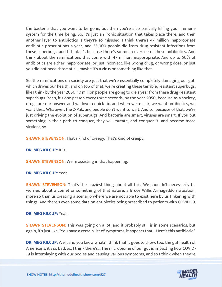the bacteria that you want to be gone, but then you're also basically killing your immune system for the time being. So, it's just an ironic situation that takes place there, and then another layer to antibiotics is they're so misused. I think there's 47 million inappropriate antibiotic prescriptions a year, and 35,000 people die from drug-resistant infections from these superbugs, and I think it's because there's so much overuse of these antibiotics. And think about the ramifications that come with 47 million, inappropriate. And up to 50% of antibiotics are either inappropriate, or just incorrect, like wrong drug, or wrong dose, or just you did not need those at all, maybe it's a virus or something like that.

So, the ramifications on society are just that we're essentially completely damaging our gut, which drives our health, and on top of that, we're creating these terrible, resistant superbugs, like I think by the year 2050, 10 million people are going to die a year from these drug-resistant superbugs. Yeah, it's one person every three seconds, by the year 2050, because as a society, drugs are our answer and we love a quick fix, and when we're sick, we want antibiotics, we want the... Whatever, the Z-Pak, and people don't want to wait. And so, because of that, we're just driving the evolution of superbugs. And bacteria are smart, viruses are smart. If you put something in their path to conquer, they will mutate, and conquer it, and become more virulent, so.

**SHAWN STEVENSON:** That's kind of creepy. That's kind of creepy.

**DR. MEG KILCUP:** It is.

**SHAWN STEVENSON:** We're assisting in that happening.

#### **DR. MEG KILCUP:** Yeah.

**SHAWN STEVENSON:** That's the craziest thing about all this. We shouldn't necessarily be worried about a comet or something of that nature, a Bruce Willis Armageddon situation, more so than us creating a scenario where we are not able to exist here by us tinkering with things. And there's even some data on antibiotics being prescribed to patients with COVID-19.

#### **DR. MEG KILCUP:** Yeah.

**SHAWN STEVENSON:** This was going on a lot, and it probably still is in some scenarios, but again, it's just like, "You have a certain list of symptoms, it appears that... Here's this antibiotic."

**DR. MEG KILCUP:** Well, and you know what? I think that it goes to show, too, the gut health of Americans, it's so bad. So, I think there's... The microbiome of our gut is impacting how COVID-19 is interplaying with our bodies and causing various symptoms, and so I think when they're

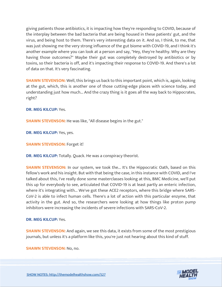giving patients those antibiotics, it is impacting how they're responding to COVID, because of the interplay between the bad bacteria that are being housed in these patients' gut, and the virus, and being host to them. There's very interesting data on it. And so, I think, to me, that was just showing me the very strong influence of the gut biome with COVID-19, and I think it's another example where you can look at a person and say, "Hey, they're healthy. Why are they having those outcomes?" Maybe their gut was completely destroyed by antibiotics or by toxins, so their bacteria is off, and it's impacting their response to COVID-19. And there's a lot of data on that. It's very fascinating.

**SHAWN STEVENSON:** Well, this brings us back to this important point, which is, again, looking at the gut, which, this is another one of those cutting-edge places with science today, and understanding just how much... And the crazy thing is it goes all the way back to Hippocrates, right?

#### **DR. MEG KILCUP:** Yes.

**SHAWN STEVENSON:** He was like, "All disease begins in the gut."

**DR. MEG KILCUP:** Yes, yes.

**SHAWN STEVENSON:** Forget it!

**DR. MEG KILCUP:** Totally. Quack. He was a conspiracy theorist.

**SHAWN STEVENSON:** In our system, we took the... It's the Hippocratic Oath, based on this fellow's work and his insight. But with that being the case, in this instance with COVID, and I've talked about this, I've really done some masterclasses looking at this, BMC Medicine, we'll put this up for everybody to see, articulated that COVID-19 is at least partly an enteric infection, where it's integrating with... We've got these ACE2 receptors, where this bridge where SARS-CoV-2 is able to infect human cells. There's a lot of action with this particular enzyme, that activity in the gut. And so, the researchers were looking at how things like proton pump inhibitors were increasing the incidents of severe infections with SARS-CoV-2.

#### **DR. MEG KILCUP:** Yes.

**SHAWN STEVENSON:** And again, we see this data, it exists from some of the most prestigious journals, but unless it's a platform like this, you're just not hearing about this kind of stuff.

**SHAWN STEVENSON:** No, no.

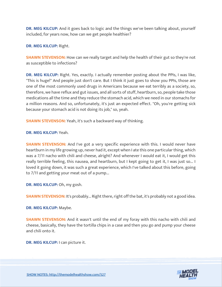**DR. MEG KILCUP:** And it goes back to logic and the things we've been talking about, yourself included, for years now, how can we get people healthier?

**DR. MEG KILCUP:** Right.

**SHAWN STEVENSON:** How can we really target and help the health of their gut so they're not as susceptible to infections?

**DR. MEG KILCUP:** Right. Yes, exactly. I actually remember posting about the PPIs, I was like, "This is huge!" And people just don't care. But I think it just goes to show you PPIs, those are one of the most commonly used drugs in Americans because we eat terribly as a society, so, therefore, we have reflux and gut issues, and all sorts of stuff, heartburn, so, people take those medications all the time and they reduce the stomach acid, which we need in our stomachs for a million reasons. And so, unfortunately, it's just an expected effect. "Oh, you're getting sick because your stomach acid is not doing its job," so, yeah.

**SHAWN STEVENSON:** Yeah, it's such a backward way of thinking.

**DR. MEG KILCUP:** Yeah.

**SHAWN STEVENSON:** And I've got a very specific experience with this. I would never have heartburn in my life growing up, never had it, except when I ate this one particular thing, which was a 7/11 nacho with chili and cheese, alright? And whenever I would eat it, I would get this really terrible feeling, this nausea, and heartburn, but I kept going to get it, I was just so... I loved it going down, it was such a great experience, which I've talked about this before, going to 7/11 and getting your meat out of a pump...

**DR. MEG KILCUP:** Oh, my gosh.

**SHAWN STEVENSON:** It's probably... Right there, right off the bat, it's probably not a good idea.

**DR. MEG KILCUP:** Maybe.

**SHAWN STEVENSON:** And it wasn't until the end of my foray with this nacho with chili and cheese, basically, they have the tortilla chips in a case and then you go and pump your cheese and chili onto it.

**DR. MEG KILCUP:** I can picture it.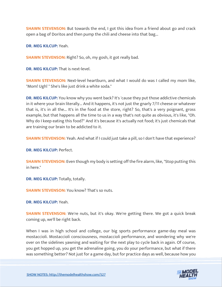**SHAWN STEVENSON:** But towards the end, I got this idea from a friend about go and crack open a bag of Doritos and then pump the chili and cheese into that bag...

**DR. MEG KILCUP:** Yeah.

**SHAWN STEVENSON:** Right? So, oh, my gosh, it got really bad.

**DR. MEG KILCUP:** That is next-level.

**SHAWN STEVENSON:** Next-level heartburn, and what I would do was I called my mom like, "Mom! Ugh! " She's like just drink a white soda."

**DR. MEG KILCUP:** You know why you went back? It's 'cause they put those addictive chemicals in it where your brain literally... And it happens, it's not just the gnarly 7/11 cheese or whatever that is, it's in all the... It's in the food at the store, right? So, that's a very poignant, gross example, but that happens all the time to us in a way that's not quite as obvious, it's like, "Oh. Why do I keep eating this food?" And it's because it's actually not food; it's just chemicals that are training our brain to be addicted to it.

**SHAWN STEVENSON:** Yeah. And what if I could just take a pill, so I don't have that experience?

**DR. MEG KILCUP:** Perfect.

**SHAWN STEVENSON:** Even though my body is setting off the fire alarm, like, "Stop putting this in here."

**DR. MEG KILCUP:** Totally, totally.

**SHAWN STEVENSON:** You know? That's so nuts.

**DR. MEG KILCUP:** Yeah.

**SHAWN STEVENSON:** We're nuts, but it's okay. We're getting there. We got a quick break coming up, we'll be right back.

When I was in high school and college, our big sports performance game-day meal was mostaccioli. Mostaccioli consciousness, mostaccioli performance, and wondering why we're over on the sidelines yawning and waiting for the next play to cycle back in again. Of course, you get hopped up, you get the adrenaline going, you do your performance, but what if there was something better? Not just for a game day, but for practice days as well, because how you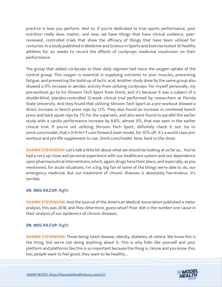practice is how you perform. And so, if you're dedicated to true sports performance, your nutrition really does matter, and now, we have things that have clinical evidence, peerreviewed, controlled trials that show the efficacy of things that have been utilized for centuries. In a study published in Medicine and Science in Sports and Exercise tested 30 healthy athletes for six weeks to record the effects of cordyceps medicinal mushroom on their performance.

The group that added cordyceps to their daily regimen had twice the oxygen uptake of the control group. This oxygen is essential in supplying nutrients to your muscles, preventing fatigue, and preventing the build-up of lactic acid. Another study done by the same group also showed a 9% increase in aerobic activity from utilizing cordyceps. For myself personally, my pre-workout go to his Shroom Tech Sport from Onnit, and it's because it was a subject of a double-blind, placebo-controlled 12-week clinical trial performed by researchers at Florida State University. And they found that utilizing Shroom Tech Sport as a pre-workout showed a direct increase in bench press reps by 12%. They also found an increase in combined bench press and back squat reps by 7% for the supersets, and also were found to parallel the earlier study with a cardio performance increase by 8.8%, almost 9%, that was seen in the earlier clinical trial. If you're not utilizing Shroom Tech Sport, definitely check it out. Go to onnit.com/model, that's O-N-N-I-T.com forward slash model, for 10% off. It's a world-class preworkout and pre-life supplement to use. Onnit.com/model. Now, back to the show.

**SHAWN STEVENSON:** Let's talk a little bit about what we should be looking at as far as... You've had a very up-close and personal experience with our healthcare system and our dependence upon pharmaceutical interventions, which, again, drugs have their place, and especially, as you mentioned, for acute situations, I'm a big, big fan of some of the things we're able to do, our emergency medicine. But our treatment of chronic illnesses is absolutely horrendous. It's terrible.

#### **DR. MEG KILCUP:** Right.

**SHAWN STEVENSON:** And the Journal of the American Medical Association published a metaanalysis, this was 2018, and they determine, guess what? Poor diet is the number one cause in their analysis of our epidemics of chronic diseases.

#### **DR. MEG KILCUP:** Right.

**SHAWN STEVENSON:** Those being heart disease, obesity, diabetes, et cetera. We know this is the thing, but we're not doing anything about it. This is why folks like yourself and your platform and platforms like this is so important because the thing is, I know and you know this, too, people want to feel good, they want to be healthy...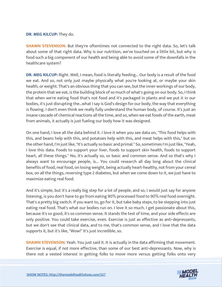#### **DR. MEG KILCUP:** They do.

**SHAWN STEVENSON:** But they're oftentimes not connected to the right data. So, let's talk about some of that right data. Why is our nutrition, we've touched on a little bit, but why is food such a big component of our health and being able to avoid some of the downfalls in the healthcare system?

**DR. MEG KILCUP:** Right. Well, I mean, food is literally feeding... Our body is a result of the food we eat. And so, not only just maybe physically what you're looking at, or maybe your skin health, or weight. That's an obvious thing that you can see, but the inner workings of our body, the protein that we eat, is the building block of so much of what's going on our body. So, I think that when we're eating food that's not food and it's packaged in plants and we put it in our bodies, it's just disrupting the…what I say is God's design for our body, the way that everything is flowing. I don't even think we really fully understand the human body, of course. It's just an insane cascade of chemical reactions all the time, and so, when we eat foods of the earth, meat from animals, it actually is just fueling our body how it was designed.

On one hand, I love all the data behind it. I love it when you see data on, "This food helps with this, and beans help with this, and potatoes help with this, and meat helps with this," but on the other hand, I'm just like, "It's actually so basic and primal." So, sometimes I'm just like, "Yeah, I love this data. Foods to support your liver, foods to support skin health, foods to support heart, all these things." No, it's actually so, so basic and common sense. And so that's why I always want to encourage people, is... You could research all day long about the clinical benefits of food, real food, on losing weight, being actually heart-healthy, not from your cereal box, on all the things, reversing type 2 diabetes, but when we come down to it, we just have to maximize eating real food.

And it's simple, but it's a really big step for a lot of people, and so, I would just say for anyone listening, is you don't have to go from eating 90% processed food to 90% real food overnight. That's a pretty big switch. If you want to, go for it, but take baby steps, to be stepping into just eating real food. That's what our bodies run on. I love it so much. I get passionate about this, because it's so good, it's so common sense. It stands the test of time, and your side effects are only positive. You could take exercise, even. Exercise is just as effective as anti-depressants, but we don't see that clinical data, and to me, that's common sense, and I love that the data supports it, but it's like, "Wow!" It's just incredible, so.

**SHAWN STEVENSON:** Yeah. You just said it. It is actually in the data affirming that movement. Exercise is equal, if not more effective, than some of our best anti-depressants. Now, why is there not a vested interest in getting folks to move more versus getting folks onto very

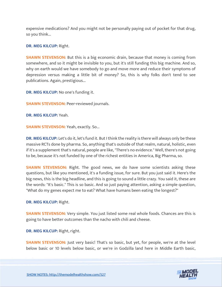expensive medications? And you might not be personally paying out of pocket for that drug, so you think...

**DR. MEG KILCUP:** Right.

**SHAWN STEVENSON:** But this is a big economic drain, because that money is coming from somewhere, and so it might be invisible to you, but it's still funding this big machine. And so, why on earth would we have somebody to go and move more and reduce their symptoms of depression versus making a little bit of money? So, this is why folks don't tend to see publications. Again, prestigious...

**DR. MEG KILCUP:** No one's funding it.

**SHAWN STEVENSON:** Peer-reviewed journals.

**DR. MEG KILCUP:** Yeah.

**SHAWN STEVENSON: Yeah, exactly. So...** 

**DR. MEG KILCUP:** Let's do it, let's fund it. But I think the reality is there will always only be these massive RCTs done by pharma. So, anything that's outside of that realm, natural, holistic, even if it's a supplement that's natural, people are like, "There's no evidence." Well, there's not going to be, because it's not funded by one of the richest entities in America, Big Pharma, so.

**SHAWN STEVENSON:** Right. The good news, we do have some scientists asking these questions, but like you mentioned, it's a funding issue, for sure. But you just said it. Here's the big news, this is the big headline, and this is going to sound a little crazy. You said it, these are the words: "It's basic." This is so basic. And so just paying attention, asking a simple question, "What do my genes expect me to eat? What have humans been eating the longest?"

**DR. MEG KILCUP:** Right.

**SHAWN STEVENSON:** Very simple. You just listed some real whole foods. Chances are this is going to have better outcomes than the nacho with chili and cheese.

**DR. MEG KILCUP:** Right, right.

**SHAWN STEVENSON:** Just very basic! That's so basic, but yet, for people, we're at the level below basic or 10 levels below basic, or we're in Godzilla land here in Middle Earth basic,

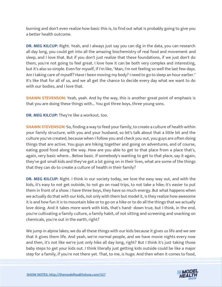burning and don't even realize how basic this is, to find out what is probably going to give you a better health outcome.

**DR. MEG KILCUP:** Right. Yeah, and I always just say you can dig in the data, you can research all day long, you could get into all the amazing biochemistry of real food and movement and sleep, and I love that. But if you don't just realize that these foundations, if we just don't do them, you're not going to feel great. I love how it can be both very complex and interesting, but it's also so simple. Even for myself, if I'm like, "Man, I'm not feeling so well the last few days. Am I taking care of myself? Have I been moving my body? I need to go to sleep an hour earlier." It's like that for all of us, and we all get the chance to decide every day what we want to do with our bodies, and I love that.

**SHAWN STEVENSON:** Yeah, yeah. And by the way, this is another great point of emphasis is that you are doing these things with... You got three boys, three young sons.

**DR. MEG KILCUP:** They're like a workout, too.

**SHAWN STEVENSON:** So, finding a way to feed your family, to create a culture of health within your family structure, with you and your husband, so let's talk about that a little bit and the culture you've created, because when I follow you and check you out, you guys are often doing things that are active. You guys are hiking together and going on adventures, and of course, eating good food along the way. How are you able to get to that place from a place that's, again, very basic where... Below basic. If somebody's wanting to get to that place, say it again, they've got small kids and they've got a lot going on in their lives, what are some of the things that they can do to create a culture of health in their family?

**DR. MEG KILCUP:** Right. I think in our society today, we love the easy way out, and with the kids, it's easy to not get outside, to not go on road trips, to not take a hike; it's easier to put them in front of a show. I have three boys, they have so much energy. But what happens when we actually do that with our kids, not only with them but model it, is they realize how awesome it is and how fun it is to mountain bike or to go on a hike or to do all the things that we actually love doing. And it takes more work with kids, that's hand- down true, but I think, in the end, you're cultivating a family culture, a family habit, of not sitting and screening and snacking on chemicals, you're out in the earth, right?

We jump in alpine lakes; we do all these things with our kids because it gives us life and we see that it gives them life. And yeah, we're normal people, and we have movie nights every now and then, it's not like we're just only hike all day long, right? But I think it's just taking those baby steps to get your kids out. I think literally just getting kids outside could be like a major step for a family, if you're not there yet. That, to me, is huge. And then when it comes to food,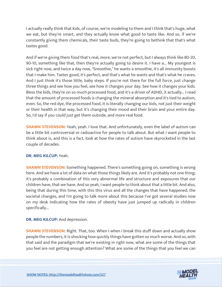I actually really think that kids, of course, we're modeling to them and I think that's huge, what we eat, but they're smart, and they actually know what good to taste like. And so, if we're constantly giving them chemicals, their taste buds, they're going to bethink that that's what tastes good.

And if we're giving them food that's real, more, we're not perfect, but I always think like 80-20, 90-10, something like that, then they're actually going to desire it. I have a... My youngest is sick right now, and twice a day now, "Smoothie," he wants a smoothie, it's all immunity boosts that I make him. Tastes good, it's perfect, and that's what he wants and that's what he craves. And I just think it's those little, baby steps. If you're not there for the full force, just change three things and see how you feel, see how it changes your day. See how it changes your kids. Bless the kids, they're on so much processed food, and it's a driver of ADHD, it actually... I read that the amount of processed foods is changing the mineral absorption and it's tied to autism, even. So, the red dye, the processed food, it is literally changing our kids, not just their weight or their health in that way, but it's changing their mood and their brain and your entire day. So, I'd say if you could just get them outside, and more real food.

**SHAWN STEVENSON:** Yeah, yeah. I love that. And unfortunately, even the label of autism can be a little bit controversial or radioactive for people to talk about. But what I want people to think about is, and this is a fact, look at how the rates of autism have skyrocketed in the last couple of decades.

# **DR. MEG KILCUP:** Yeah.

**SHAWN STEVENSON:** Something happened. There's something going on, something is wrong here. And we have a lot of data on what those things likely are. And it's probably not one thing; it's probably a combination of this very abnormal life and structure and exposures that our children have, that we have. And so yeah, I want people to think about that a little bit. And also, being that during this time, with this this virus and all the changes that have happened, the societal changes, and I'm going to talk more about this because I've got several studies now on my desk indicating how the rates of obesity have just jumped up radically in children specifically...

**DR. MEG KILCUP:** And depression.

**SHAWN STEVENSON:** Right. That, too. When I when I break this stuff down and actually show people the numbers, it is shocking how quickly things have gotten so much worse. And so, with that said and the paradigm that we're existing in right now, what are some of the things that you feel are not getting enough attention? What are some of the things that you feel we can

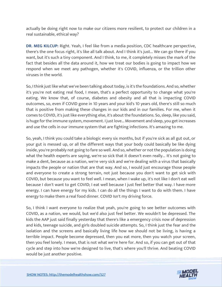actually be doing right now to make our citizens more resilient, to protect our children in a real sustainable, ethical way?

**DR. MEG KILCUP:** Right. Yeah, I feel like from a media position, CDC healthcare perspective, there's the one focus right, it's like all talk about. And I think it's just... We can go there if you want, but it's such a tiny component. And I think, to me, it completely misses the mark of the fact that besides all the data around it, how we treat our bodies is going to impact how we respond when we meet any pathogen, whether it's COVID, influenza, or the trillion other viruses in the world.

So, I think just like what we've been talking about today, is it's the foundations. And so, whether it's you're not eating real food, I mean, that's a perfect opportunity to change what you're eating. We know that, of course, diabetes and obesity and all that is impacting COVID outcomes, so, even if COVID gone in 10 years and your kid's 10 years old, there's still so much that is positive from making these changes in our kids and in our families. For me, when it comes to COVID, it's just like everything else, it's about the foundations. So, sleep, like you said, is huge for the immune system, movement. I just love... Movement and sleep, you get increases and use the cells in our immune system that are fighting infections. It's amazing to me.

So, yeah, I think you could take a biologic every six months, but if you're sick as all gut out, or your gut is messed up, or all the different ways that your body could basically be like dying inside, you're probably not going to fare so well. And so, whether or not the population is doing what the health experts are saying, we're so sick that it doesn't even really... It's not going to make a dent, because as a nation, we're very sick and we're dealing with a virus that basically impacts the people or nation that are that way. And so, I would just encourage those people and everyone to create a strong terrain, not just because you don't want to get sick with COVID, but because you want to feel well. I mean, when I wake up, it's not like I don't eat well because I don't want to get COVID; I eat well because I just feel better that way. I have more energy. I can have energy for my kids. I can do all the things I want to do with them. I have energy to make them a real food dinner. COVID Isn't my driving force.

So, I think I want everyone to realize that yeah, you're going to see better outcomes with COVID, as a nation, we would, but we'd also just feel better. We wouldn't be depressed. The kids the AAP just said finally yesterday that there's like a emergency crisis now of depression and kids, teenage suicide, and girls doubled suicide attempts. So, I think just the fear and the isolation and the screens and basically living life how we should not be living, is having a terrible impact. People become depressed, then you eat more, then you watch your screen, then you feel lonely. I mean, that is not what we're here for. And so, if you can get out of that cycle and step into how we're designed to live, that's where you'll thrive. And beating COVID would be just another positive.